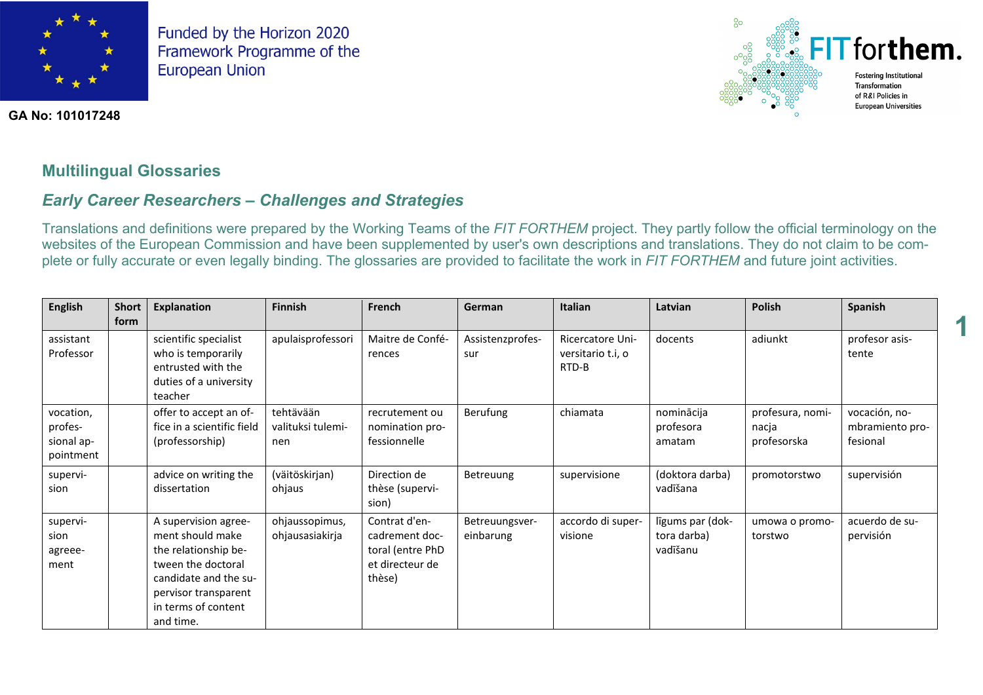

**GA No: 101017248**



**1**

# **Multilingual Glossaries**

# *Early Career Researchers – Challenges and Strategies*

Translations and definitions were prepared by the Working Teams of the *FIT FORTHEM* project. They partly follow the official terminology on the websites of the European Commission and have been supplemented by user's own descriptions and translations. They do not claim to be complete or fully accurate or even legally binding. The glossaries are provided to facilitate the work in *FIT FORTHEM* and future joint activities.

| English                                         | <b>Short</b><br>form | Explanation                                                                                                                                                                 | <b>Finnish</b>                        | French                                                                           | German                      | <b>Italian</b>                                 | Latvian                                     | <b>Polish</b>                            | Spanish                                      |
|-------------------------------------------------|----------------------|-----------------------------------------------------------------------------------------------------------------------------------------------------------------------------|---------------------------------------|----------------------------------------------------------------------------------|-----------------------------|------------------------------------------------|---------------------------------------------|------------------------------------------|----------------------------------------------|
| assistant<br>Professor                          |                      | scientific specialist<br>who is temporarily<br>entrusted with the<br>duties of a university<br>teacher                                                                      | apulaisprofessori                     | Maitre de Confé-<br>rences                                                       | Assistenzprofes-<br>sur     | Ricercatore Uni-<br>versitario t.i, o<br>RTD-B | docents                                     | adiunkt                                  | profesor asis-<br>tente                      |
| vocation,<br>profes-<br>sional ap-<br>pointment |                      | offer to accept an of-<br>fice in a scientific field<br>(professorship)                                                                                                     | tehtävään<br>valituksi tulemi-<br>nen | recrutement ou<br>nomination pro-<br>fessionnelle                                | Berufung                    | chiamata                                       | nominācija<br>profesora<br>amatam           | profesura, nomi-<br>nacja<br>profesorska | vocación, no-<br>mbramiento pro-<br>fesional |
| supervi-<br>sion                                |                      | advice on writing the<br>dissertation                                                                                                                                       | (väitöskirjan)<br>ohjaus              | Direction de<br>thèse (supervi-<br>sion)                                         | Betreuung                   | supervisione                                   | (doktora darba)<br>vadīšana                 | promotorstwo                             | supervisión                                  |
| supervi-<br>sion<br>agreee-<br>ment             |                      | A supervision agree-<br>ment should make<br>the relationship be-<br>tween the doctoral<br>candidate and the su-<br>pervisor transparent<br>in terms of content<br>and time. | ohjaussopimus,<br>ohjausasiakirja     | Contrat d'en-<br>cadrement doc-<br>toral (entre PhD<br>et directeur de<br>thèse) | Betreuungsver-<br>einbarung | accordo di super-<br>visione                   | līgums par (dok-<br>tora darba)<br>vadīšanu | umowa o promo-<br>torstwo                | acuerdo de su-<br>pervisión                  |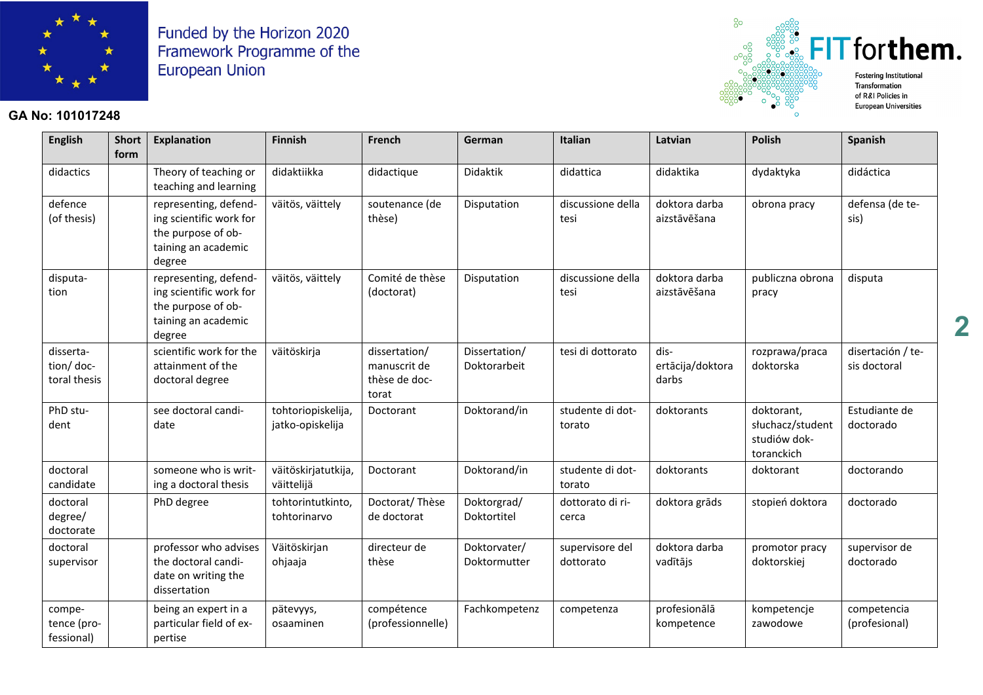

#### **GA No: 101017248**



**English Short form Explanation Finnish French German Italian Latvian Polish Spanish** didactics  $\parallel$  Theory of teaching or teaching and learning didaktiikka didactique Didaktik didattica didaktika dydaktyka didáctica defence (of thesis) representing, defending scientific work for the purpose of obtaining an academic degree väitös, väittely | soutenance (de thèse) Disputation discussione della tesi doktora darba aizstāvēšana obrona pracy defensa (de tesis) disputation representing, defending scientific work for the purpose of obtaining an academic degree väitös, väittely Comité de thèse (doctorat) Disputation discussione della tesi doktora darba aizstāvēšana publiczna obrona pracy disputa dissertation/ doctoral thesis scientific work for the attainment of the doctoral degree väitöskirja dissertation/ manuscrit de thèse de doctorat Dissertation/ Doktorarbeit tesi di dottorato  $\frac{1}{1}$  disertācija/doktora darbs rozprawa/praca doktorska disertación / tesis doctoral PhD student see doctoral candidate tohtoriopiskelija, jatko-opiskelija Doctorant Doktorand/in studente di dottorato doktorants doktorant, słuchacz/student studiów doktoranckich Estudiante de doctorado doctoral candidate someone who is writing a doctoral thesis väitöskirjatutkija, väittelijä Doctorant Doktorand/in I studente di dottorato doktorants doktorant doctorando doctoral degree/ doctorate PhD degree  $\vert$  tohtorintutkinto. tohtorinarvo Doctorat/ Thèse de doctorat Doktorgrad/ Doktortitel dottorato di ricerca doktora grāds dotopień doktora doctorado doctoral supervisor professor who advises the doctoral candidate on writing the dissertation Väitöskirjan ohjaaja directeur de thèse Doktorvater/ Doktormutter supervisore del dottorato doktora darba vadītājs promotor pracy doktorskiej supervisor de doctorado competence (professional) being an expert in a particular field of expertise pätevyys, osaaminen compétence (professionnelle) Fachkompetenz competenza profesionālā kompetence kompetencje zawodowe competencia (profesional)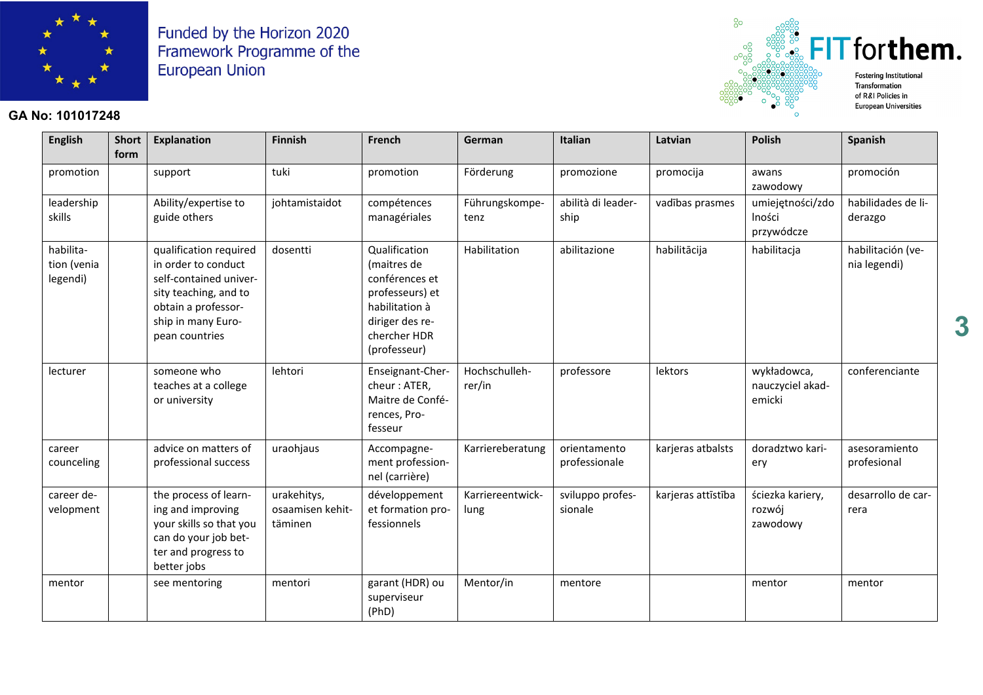

#### **GA No: 101017248**



**English Short form Explanation Finnish French German Italian Latvian Polish Spanish** promotion | |support | |tuki | |promotion | Förderung | | promozione | promocija | awans zawodowy promoción leadership skills Ability/expertise to guide others johtamistaidot compétences managériales Führungskompetenz abilità di leadership vadības prasmes | umiejętności/zdo lności przywódcze habilidades de liderazgo habilitation (venia legendi) qualification required in order to conduct self-contained university teaching, and to obtain a professorship in many European countries dosentti Qualification (maitres de conférences et professeurs) et habilitation à diriger des rechercher HDR (professeur) Habilitation abilitazione habilitācija habilitacja habilitación (venia legendi) lecturer l someone who teaches at a college or university lehtori Enseignant-Chercheur : ATER, Maitre de Conférences, Professeur Hochschullehrer/in professore | lektors | wykładowca, nauczyciel akademicki conferenciante career counceling advice on matters of professional success uraohjaus | Accompagnement professionnel (carrière) Karriereberatung | orientamento professionale karjeras atbalsts | doradztwo kariery asesoramiento profesional career development the process of learning and improving your skills so that you can do your job better and progress to better jobs urakehitys, osaamisen kehittäminen développement et formation professionnels Karriereentwicklung sviluppo professionale karjeras attīstība ściezka kariery, rozwój zawodowy desarrollo de carrera mentor see mentoring mentori garant (HDR) ou superviseur (PhD) Mentor/in | mentore | mentor | mentor | mentor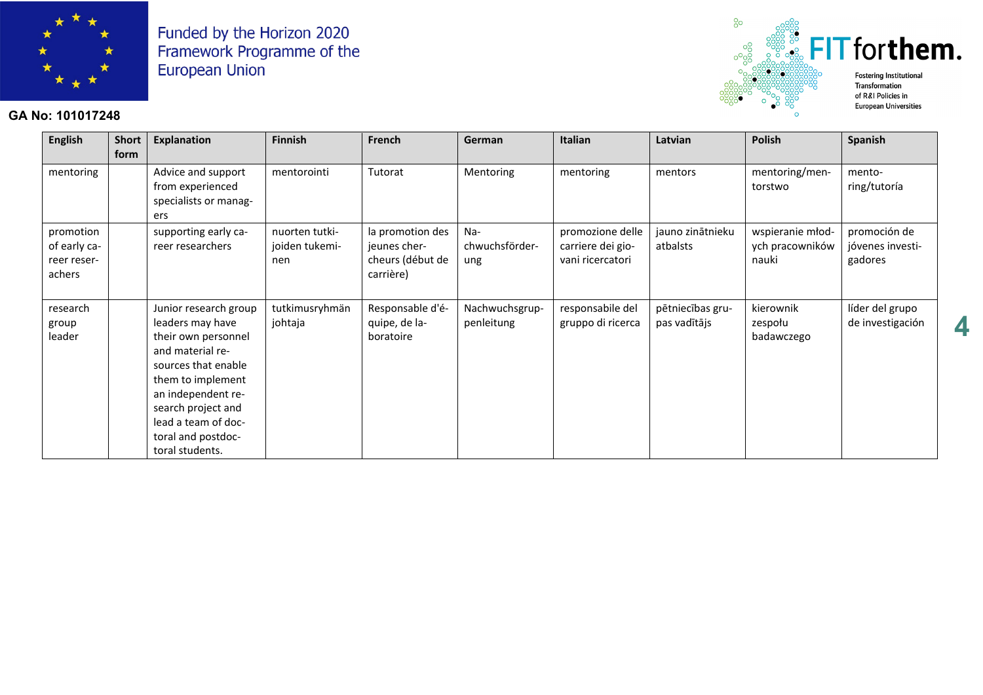

### **GA No: 101017248**



**European Universities** 

| <b>English</b>                                     | <b>Short</b><br>form | Explanation                                                                                                                                                                                                                                  | <b>Finnish</b>                          | French                                                            | German                       | Italian                                                   | Latvian                          | <b>Polish</b>                                | Spanish                                     |
|----------------------------------------------------|----------------------|----------------------------------------------------------------------------------------------------------------------------------------------------------------------------------------------------------------------------------------------|-----------------------------------------|-------------------------------------------------------------------|------------------------------|-----------------------------------------------------------|----------------------------------|----------------------------------------------|---------------------------------------------|
| mentoring                                          |                      | Advice and support<br>from experienced<br>specialists or manag-<br>ers                                                                                                                                                                       | mentorointi                             | Tutorat                                                           | Mentoring                    | mentoring                                                 | mentors                          | mentoring/men-<br>torstwo                    | mento-<br>ring/tutoría                      |
| promotion<br>of early ca-<br>reer reser-<br>achers |                      | supporting early ca-<br>reer researchers                                                                                                                                                                                                     | nuorten tutki-<br>joiden tukemi-<br>nen | la promotion des<br>jeunes cher-<br>cheurs (début de<br>carrière) | Na-<br>chwuchsförder-<br>ung | promozione delle<br>carriere dei gio-<br>vani ricercatori | jauno zinātnieku<br>atbalsts     | wspieranie młod-<br>ych pracowników<br>nauki | promoción de<br>jóvenes investi-<br>gadores |
| research<br>group<br>leader                        |                      | Junior research group<br>leaders may have<br>their own personnel<br>and material re-<br>sources that enable<br>them to implement<br>an independent re-<br>search project and<br>lead a team of doc-<br>toral and postdoc-<br>toral students. | tutkimusryhmän<br>johtaja               | Responsable d'é-<br>quipe, de la-<br>boratoire                    | Nachwuchsgrup-<br>penleitung | responsabile del<br>gruppo di ricerca                     | pētniecības gru-<br>pas vadītājs | kierownik<br>zespołu<br>badawczego           | líder del grupo<br>de investigación         |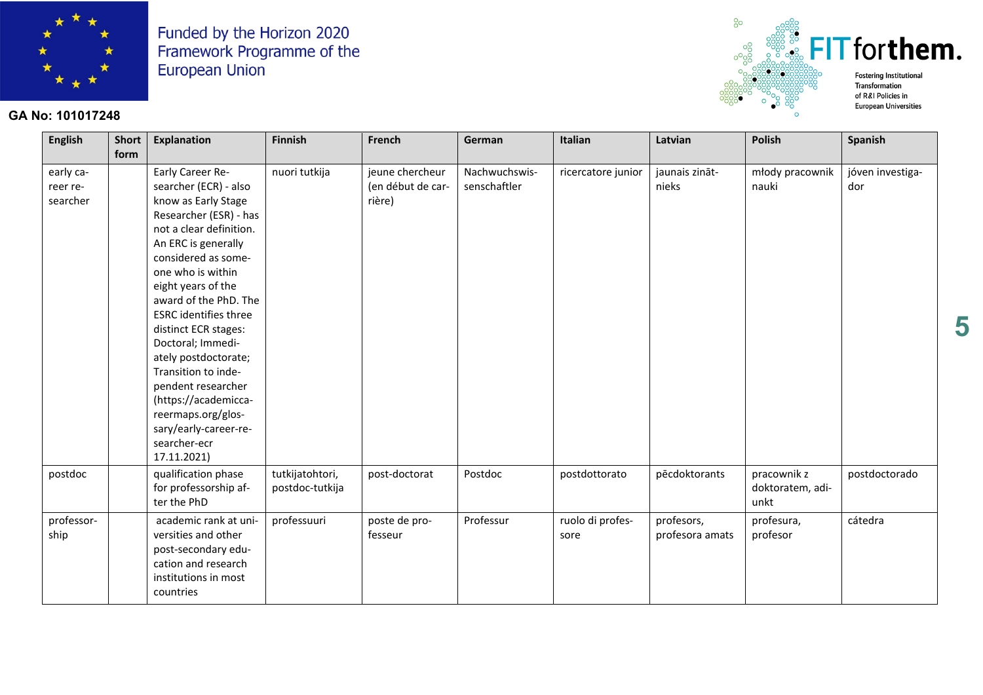

## **GA No: 101017248**



**European Universities** 

| <b>English</b>                    | Short  <br>form | Explanation                                                                                                                                                                                                                                                                                                                                                                                                                                                                                     | <b>Finnish</b>                     | French                                         | German                        | Italian                  | Latvian                       | <b>Polish</b>                           | <b>Spanish</b>          |
|-----------------------------------|-----------------|-------------------------------------------------------------------------------------------------------------------------------------------------------------------------------------------------------------------------------------------------------------------------------------------------------------------------------------------------------------------------------------------------------------------------------------------------------------------------------------------------|------------------------------------|------------------------------------------------|-------------------------------|--------------------------|-------------------------------|-----------------------------------------|-------------------------|
| early ca-<br>reer re-<br>searcher |                 | Early Career Re-<br>searcher (ECR) - also<br>know as Early Stage<br>Researcher (ESR) - has<br>not a clear definition.<br>An ERC is generally<br>considered as some-<br>one who is within<br>eight years of the<br>award of the PhD. The<br><b>ESRC</b> identifies three<br>distinct ECR stages:<br>Doctoral; Immedi-<br>ately postdoctorate;<br>Transition to inde-<br>pendent researcher<br>(https://academicca-<br>reermaps.org/glos-<br>sary/early-career-re-<br>searcher-ecr<br>17.11.2021) | nuori tutkija                      | jeune chercheur<br>(en début de car-<br>rière) | Nachwuchswis-<br>senschaftler | ricercatore junior       | jaunais zināt-<br>nieks       | młody pracownik<br>nauki                | jóven investiga-<br>dor |
| postdoc                           |                 | qualification phase<br>for professorship af-<br>ter the PhD                                                                                                                                                                                                                                                                                                                                                                                                                                     | tutkijatohtori,<br>postdoc-tutkija | post-doctorat                                  | Postdoc                       | postdottorato            | pēcdoktorants                 | pracownik z<br>doktoratem, adi-<br>unkt | postdoctorado           |
| professor-<br>ship                |                 | academic rank at uni-<br>versities and other<br>post-secondary edu-<br>cation and research<br>institutions in most<br>countries                                                                                                                                                                                                                                                                                                                                                                 | professuuri                        | poste de pro-<br>fesseur                       | Professur                     | ruolo di profes-<br>sore | profesors,<br>profesora amats | profesura,<br>profesor                  | cátedra                 |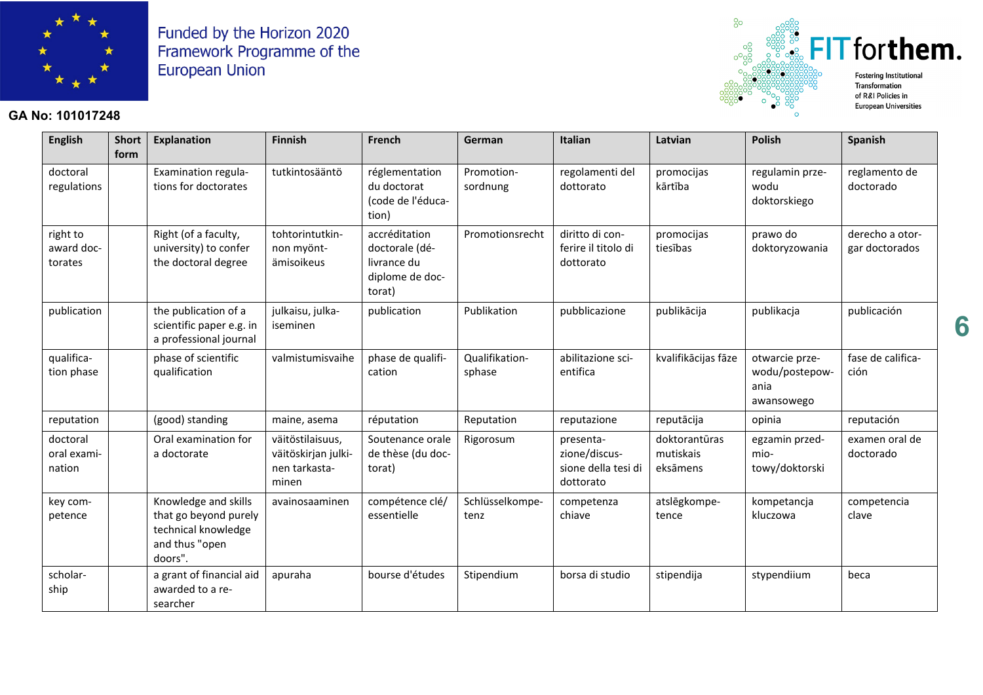

### **GA No: 101017248**



| <b>English</b>                    | <b>Short</b><br>form | <b>Explanation</b>                                                                                | <b>Finnish</b>                                                    | French                                                                      | German                   | <b>Italian</b>                                                 | Latvian                                | <b>Polish</b>                                          | <b>Spanish</b>                    |
|-----------------------------------|----------------------|---------------------------------------------------------------------------------------------------|-------------------------------------------------------------------|-----------------------------------------------------------------------------|--------------------------|----------------------------------------------------------------|----------------------------------------|--------------------------------------------------------|-----------------------------------|
| doctoral<br>regulations           |                      | Examination regula-<br>tions for doctorates                                                       | tutkintosääntö                                                    | réglementation<br>du doctorat<br>(code de l'éduca-<br>tion)                 | Promotion-<br>sordnung   | regolamenti del<br>dottorato                                   | promocijas<br>kārtība                  | regulamin prze-<br>wodu<br>doktorskiego                | reglamento de<br>doctorado        |
| right to<br>award doc-<br>torates |                      | Right (of a faculty,<br>university) to confer<br>the doctoral degree                              | tohtorintutkin-<br>non myönt-<br>ämisoikeus                       | accréditation<br>doctorale (dé-<br>livrance du<br>diplome de doc-<br>torat) | Promotionsrecht          | diritto di con-<br>ferire il titolo di<br>dottorato            | promocijas<br>tiesības                 | prawo do<br>doktoryzowania                             | derecho a otor-<br>gar doctorados |
| publication                       |                      | the publication of a<br>scientific paper e.g. in<br>a professional journal                        | julkaisu, julka-<br>iseminen                                      | publication                                                                 | Publikation              | pubblicazione                                                  | publikācija                            | publikacja                                             | publicación                       |
| qualifica-<br>tion phase          |                      | phase of scientific<br>qualification                                                              | valmistumisvaihe                                                  | phase de qualifi-<br>cation                                                 | Qualifikation-<br>sphase | abilitazione sci-<br>entifica                                  | kvalifikācijas fāze                    | otwarcie prze-<br>wodu/postepow-<br>ania<br>awansowego | fase de califica-<br>ción         |
| reputation                        |                      | (good) standing                                                                                   | maine, asema                                                      | réputation                                                                  | Reputation               | reputazione                                                    | reputācija                             | opinia                                                 | reputación                        |
| doctoral<br>oral exami-<br>nation |                      | Oral examination for<br>a doctorate                                                               | väitöstilaisuus,<br>väitöskirjan julki-<br>nen tarkasta-<br>minen | Soutenance orale<br>de thèse (du doc-<br>torat)                             | Rigorosum                | presenta-<br>zione/discus-<br>sione della tesi di<br>dottorato | doktorantūras<br>mutiskais<br>eksāmens | egzamin przed-<br>mio-<br>towy/doktorski               | examen oral de<br>doctorado       |
| key com-<br>petence               |                      | Knowledge and skills<br>that go beyond purely<br>technical knowledge<br>and thus "open<br>doors". | avainosaaminen                                                    | compétence clé/<br>essentielle                                              | Schlüsselkompe-<br>tenz  | competenza<br>chiave                                           | atslēgkompe-<br>tence                  | kompetancja<br>kluczowa                                | competencia<br>clave              |
| scholar-<br>ship                  |                      | a grant of financial aid<br>awarded to a re-<br>searcher                                          | apuraha                                                           | bourse d'études                                                             | Stipendium               | borsa di studio                                                | stipendija                             | stypendiium                                            | beca                              |